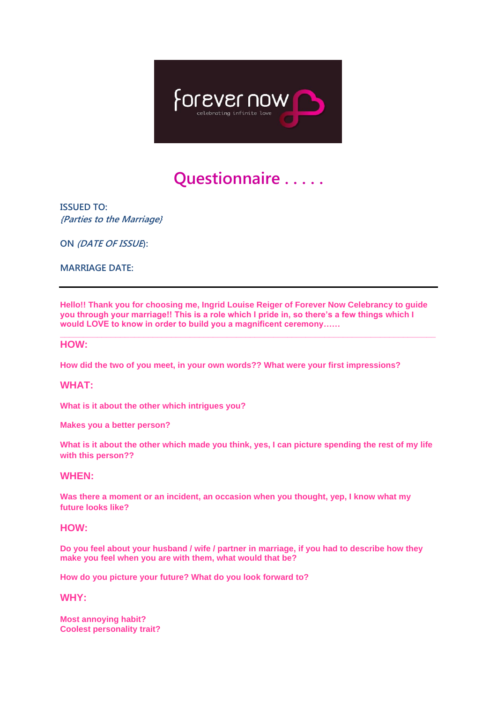

# **Questionnaire . . . . .**

**ISSUED TO: {Parties to the Marriage}**

**ON (DATE OF ISSUE):** 

**MARRIAGE DATE:** 

**Hello!! Thank you for choosing me, Ingrid Louise Reiger of Forever Now Celebrancy to guide you through your marriage!! This is a role which I pride in, so there's a few things which I would LOVE to know in order to build you a magnificent ceremony……**

**\_\_\_\_\_\_\_\_\_\_\_\_\_\_\_\_\_\_\_\_\_\_\_\_\_\_\_\_\_\_\_\_\_\_\_\_\_\_\_\_\_\_\_\_\_\_\_\_\_\_\_\_\_\_\_\_\_\_\_\_\_\_\_\_\_\_\_\_\_\_\_\_\_\_\_\_\_\_\_\_\_** 

#### **HOW:**

**How did the two of you meet, in your own words?? What were your first impressions?**

#### **WHAT:**

**What is it about the other which intrigues you?**

**Makes you a better person?**

**What is it about the other which made you think, yes, I can picture spending the rest of my life with this person??**

## **WHEN:**

**Was there a moment or an incident, an occasion when you thought, yep, I know what my future looks like?**

### **HOW:**

**Do you feel about your husband / wife / partner in marriage, if you had to describe how they make you feel when you are with them, what would that be?**

**How do you picture your future? What do you look forward to?**

**WHY:**

**Most annoying habit? Coolest personality trait?**